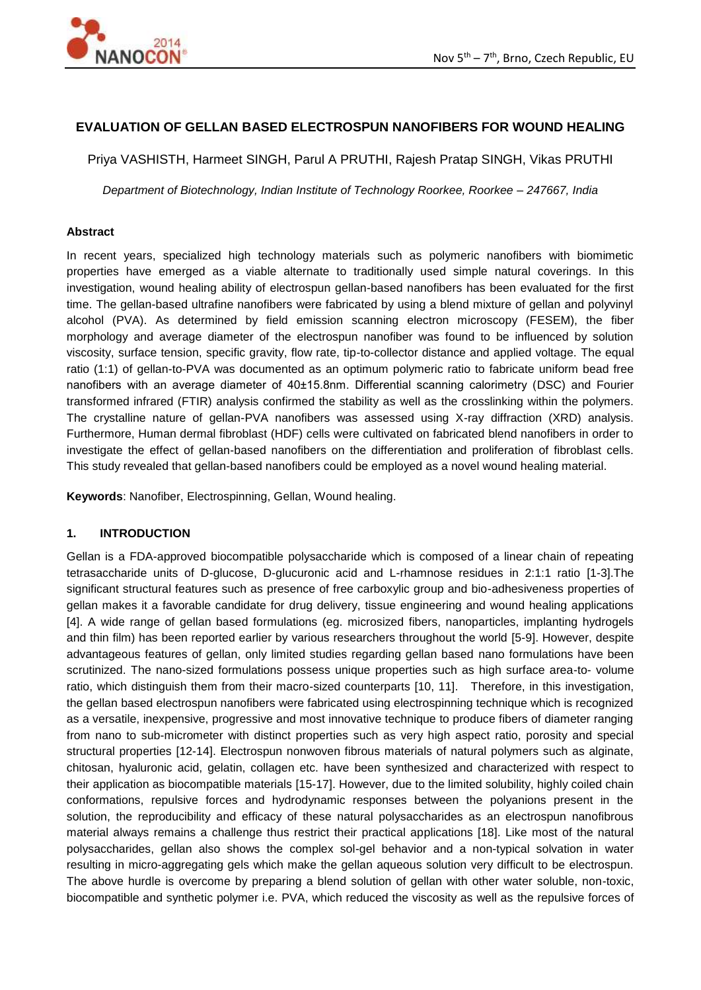

# **EVALUATION OF GELLAN BASED ELECTROSPUN NANOFIBERS FOR WOUND HEALING**

Priya VASHISTH, Harmeet SINGH, Parul A PRUTHI, Rajesh Pratap SINGH, Vikas PRUTHI

*Department of Biotechnology, Indian Institute of Technology Roorkee, Roorkee – 247667, India* 

#### **Abstract**

In recent years, specialized high technology materials such as polymeric nanofibers with biomimetic properties have emerged as a viable alternate to traditionally used simple natural coverings. In this investigation, wound healing ability of electrospun gellan-based nanofibers has been evaluated for the first time. The gellan-based ultrafine nanofibers were fabricated by using a blend mixture of gellan and polyvinyl alcohol (PVA). As determined by field emission scanning electron microscopy (FESEM), the fiber morphology and average diameter of the electrospun nanofiber was found to be influenced by solution viscosity, surface tension, specific gravity, flow rate, tip-to-collector distance and applied voltage. The equal ratio (1:1) of gellan-to-PVA was documented as an optimum polymeric ratio to fabricate uniform bead free nanofibers with an average diameter of 40±15.8nm. Differential scanning calorimetry (DSC) and Fourier transformed infrared (FTIR) analysis confirmed the stability as well as the crosslinking within the polymers. The crystalline nature of gellan-PVA nanofibers was assessed using X-ray diffraction (XRD) analysis. Furthermore, Human dermal fibroblast (HDF) cells were cultivated on fabricated blend nanofibers in order to investigate the effect of gellan-based nanofibers on the differentiation and proliferation of fibroblast cells. This study revealed that gellan-based nanofibers could be employed as a novel wound healing material.

**Keywords**: Nanofiber, Electrospinning, Gellan, Wound healing.

### **1. INTRODUCTION**

Gellan is a FDA-approved biocompatible polysaccharide which is composed of a linear chain of repeating tetrasaccharide units of D-glucose, D-glucuronic acid and L-rhamnose residues in 2:1:1 ratio [1-3].The significant structural features such as presence of free carboxylic group and bio-adhesiveness properties of gellan makes it a favorable candidate for drug delivery, tissue engineering and wound healing applications [4]. A wide range of gellan based formulations (eg. microsized fibers, nanoparticles, implanting hydrogels and thin film) has been reported earlier by various researchers throughout the world [5-9]. However, despite advantageous features of gellan, only limited studies regarding gellan based nano formulations have been scrutinized. The nano-sized formulations possess unique properties such as high surface area-to- volume ratio, which distinguish them from their macro-sized counterparts [10, 11]. Therefore, in this investigation, the gellan based electrospun nanofibers were fabricated using electrospinning technique which is recognized as a versatile, inexpensive, progressive and most innovative technique to produce fibers of diameter ranging from nano to sub-micrometer with distinct properties such as very high aspect ratio, porosity and special structural properties [12-14]. Electrospun nonwoven fibrous materials of natural polymers such as alginate, chitosan, hyaluronic acid, gelatin, collagen etc. have been synthesized and characterized with respect to their application as biocompatible materials [15-17]. However, due to the limited solubility, highly coiled chain conformations, repulsive forces and hydrodynamic responses between the polyanions present in the solution, the reproducibility and efficacy of these natural polysaccharides as an electrospun nanofibrous material always remains a challenge thus restrict their practical applications [18]. Like most of the natural polysaccharides, gellan also shows the complex sol-gel behavior and a non-typical solvation in water resulting in micro-aggregating gels which make the gellan aqueous solution very difficult to be electrospun. The above hurdle is overcome by preparing a blend solution of gellan with other water soluble, non-toxic, biocompatible and synthetic polymer i.e. PVA, which reduced the viscosity as well as the repulsive forces of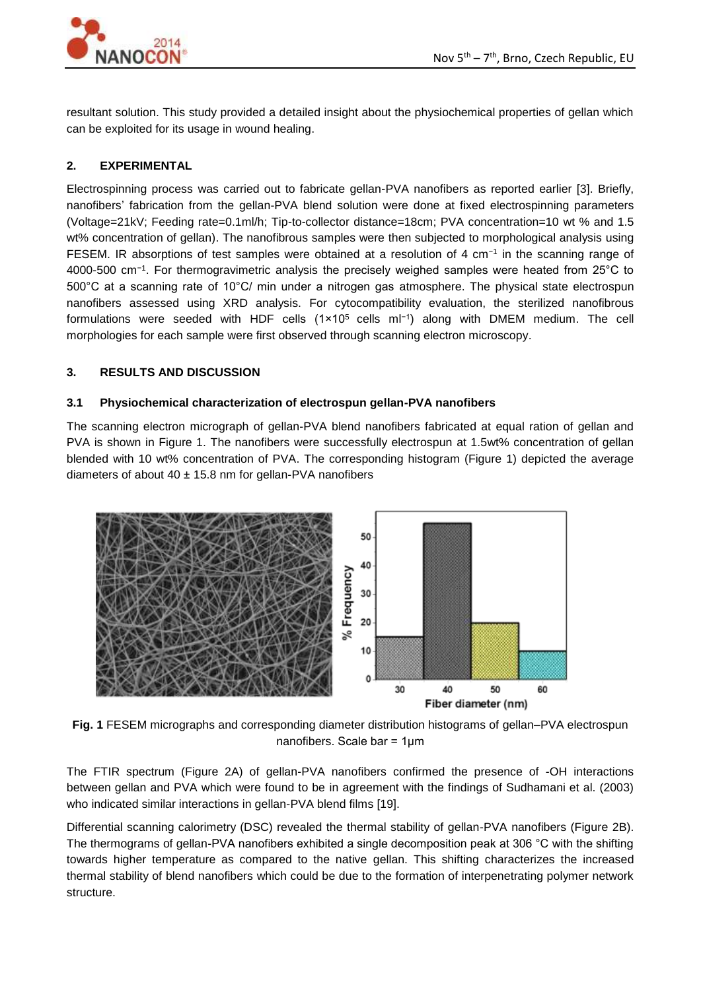

resultant solution. This study provided a detailed insight about the physiochemical properties of gellan which can be exploited for its usage in wound healing.

# **2. EXPERIMENTAL**

Electrospinning process was carried out to fabricate gellan-PVA nanofibers as reported earlier [3]. Briefly, nanofibers' fabrication from the gellan-PVA blend solution were done at fixed electrospinning parameters (Voltage=21kV; Feeding rate=0.1ml/h; Tip-to-collector distance=18cm; PVA concentration=10 wt % and 1.5 wt% concentration of gellan). The nanofibrous samples were then subjected to morphological analysis using FESEM. IR absorptions of test samples were obtained at a resolution of 4 cm<sup>-1</sup> in the scanning range of 4000-500 cm−1 . For thermogravimetric analysis the precisely weighed samples were heated from 25°C to 500°C at a scanning rate of 10°C/ min under a nitrogen gas atmosphere. The physical state electrospun nanofibers assessed using XRD analysis. For cytocompatibility evaluation, the sterilized nanofibrous formulations were seeded with HDF cells (1×10<sup>5</sup> cells ml−1) along with DMEM medium. The cell morphologies for each sample were first observed through scanning electron microscopy.

## **3. RESULTS AND DISCUSSION**

## **3.1 Physiochemical characterization of electrospun gellan-PVA nanofibers**

The scanning electron micrograph of gellan-PVA blend nanofibers fabricated at equal ration of gellan and PVA is shown in Figure 1. The nanofibers were successfully electrospun at 1.5wt% concentration of gellan blended with 10 wt% concentration of PVA. The corresponding histogram (Figure 1) depicted the average diameters of about  $40 \pm 15.8$  nm for gellan-PVA nanofibers



**Fig. 1** FESEM micrographs and corresponding diameter distribution histograms of gellan–PVA electrospun nanofibers. Scale bar = 1µm

The FTIR spectrum (Figure 2A) of gellan-PVA nanofibers confirmed the presence of -OH interactions between gellan and PVA which were found to be in agreement with the findings of Sudhamani et al. (2003) who indicated similar interactions in gellan-PVA blend films [19].

Differential scanning calorimetry (DSC) revealed the thermal stability of gellan-PVA nanofibers (Figure 2B). The thermograms of gellan-PVA nanofibers exhibited a single decomposition peak at 306 °C with the shifting towards higher temperature as compared to the native gellan. This shifting characterizes the increased thermal stability of blend nanofibers which could be due to the formation of interpenetrating polymer network structure.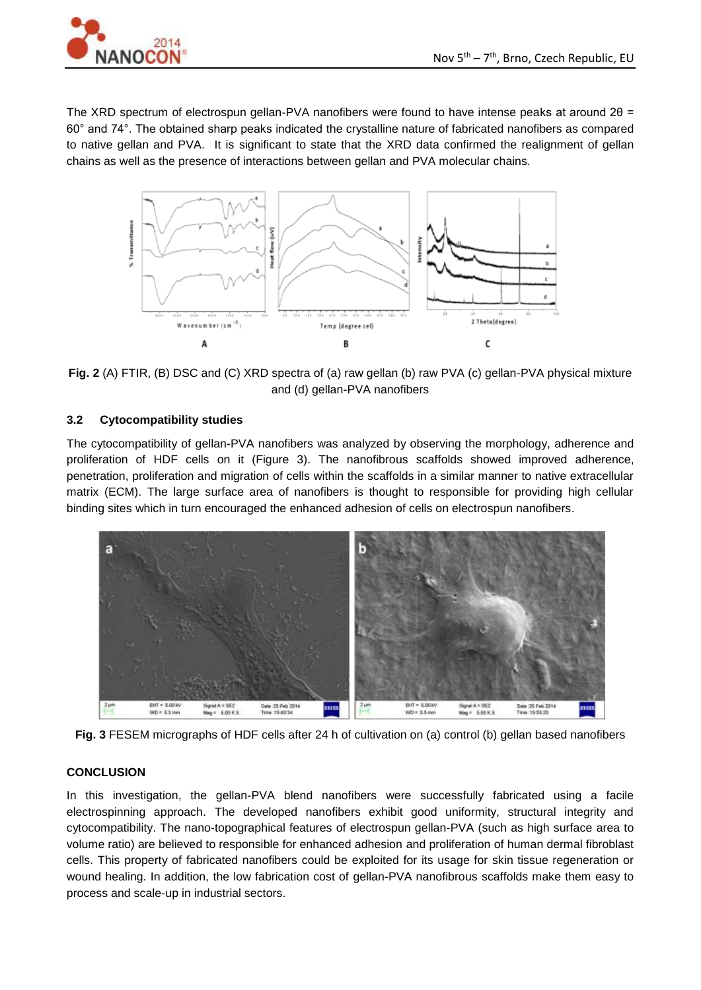The XRD spectrum of electrospun gellan-PVA nanofibers were found to have intense peaks at around 20 = 60° and 74°. The obtained sharp peaks indicated the crystalline nature of fabricated nanofibers as compared to native gellan and PVA. It is significant to state that the XRD data confirmed the realignment of gellan chains as well as the presence of interactions between gellan and PVA molecular chains.



**Fig. 2** (A) FTIR, (B) DSC and (C) XRD spectra of (a) raw gellan (b) raw PVA (c) gellan-PVA physical mixture and (d) gellan-PVA nanofibers

## **3.2 Cytocompatibility studies**

The cytocompatibility of gellan-PVA nanofibers was analyzed by observing the morphology, adherence and proliferation of HDF cells on it (Figure 3). The nanofibrous scaffolds showed improved adherence, penetration, proliferation and migration of cells within the scaffolds in a similar manner to native extracellular matrix (ECM). The large surface area of nanofibers is thought to responsible for providing high cellular binding sites which in turn encouraged the enhanced adhesion of cells on electrospun nanofibers.



**Fig. 3** FESEM micrographs of HDF cells after 24 h of cultivation on (a) control (b) gellan based nanofibers

## **CONCLUSION**

In this investigation, the gellan-PVA blend nanofibers were successfully fabricated using a facile electrospinning approach. The developed nanofibers exhibit good uniformity, structural integrity and cytocompatibility. The nano-topographical features of electrospun gellan-PVA (such as high surface area to volume ratio) are believed to responsible for enhanced adhesion and proliferation of human dermal fibroblast cells. This property of fabricated nanofibers could be exploited for its usage for skin tissue regeneration or wound healing. In addition, the low fabrication cost of gellan-PVA nanofibrous scaffolds make them easy to process and scale-up in industrial sectors.